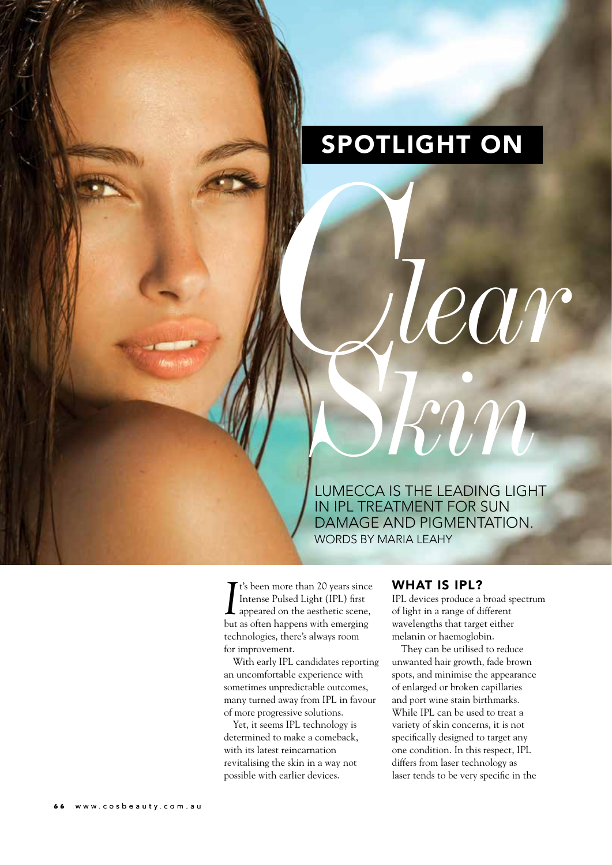# sPotLight on

Lumecca is the Leading Light in ipL treatment for sun damage and pigmentation. WORDS BY MARIA LEAHY *kin CS*

*I*<sup>t's</sup> been more than 20 years since<br>Intense Pulsed Light (IPL) first<br>appeared on the aesthetic scene,<br>but as often happens with emerging t's been more than 20 years since Intense Pulsed Light (IPL) first appeared on the aesthetic scene, technologies, there's always room for improvement.

With early IPL candidates reporting an uncomfortable experience with sometimes unpredictable outcomes, many turned away from IPL in favour of more progressive solutions.

Yet, it seems IPL technology is determined to make a comeback, with its latest reincarnation revitalising the skin in a way not possible with earlier devices.

#### WHAT IS IPL?

IPL devices produce a broad spectrum of light in a range of different wavelengths that target either melanin or haemoglobin.

*lear*

They can be utilised to reduce unwanted hair growth, fade brown spots, and minimise the appearance of enlarged or broken capillaries and port wine stain birthmarks. While IPL can be used to treat a variety of skin concerns, it is not specifically designed to target any one condition. In this respect, IPL differs from laser technology as laser tends to be very specific in the